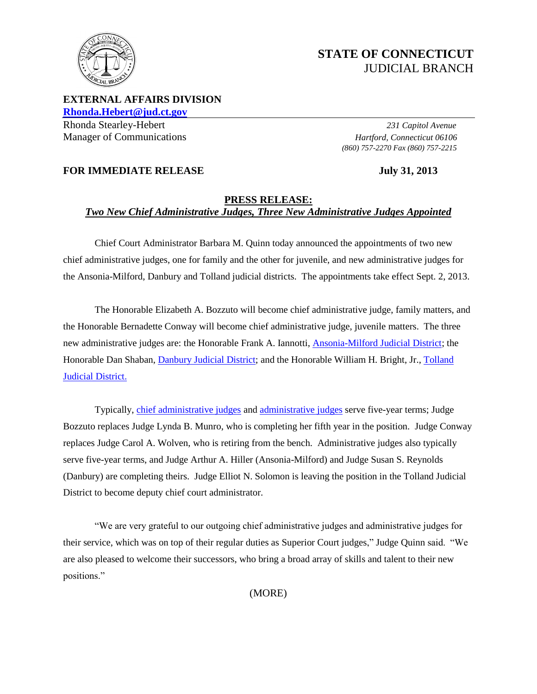

# **STATE OF CONNECTICUT** JUDICIAL BRANCH

**EXTERNAL AFFAIRS DIVISION [Rhonda.Hebert@jud.ct.gov](mailto:Rhonda.Hebert@jud.ct.gov)**

Rhonda Stearley-Hebert *231 Capitol Avenue* Manager of Communications *Hartford, Connecticut 06106*

*(860) 757-2270 Fax (860) 757-2215*

# **FOR IMMEDIATE RELEASE** July 31, 2013

## **PRESS RELEASE:** *Two New Chief Administrative Judges, Three New Administrative Judges Appointed*

Chief Court Administrator Barbara M. Quinn today announced the appointments of two new chief administrative judges, one for family and the other for juvenile, and new administrative judges for the Ansonia-Milford, Danbury and Tolland judicial districts. The appointments take effect Sept. 2, 2013.

The Honorable Elizabeth A. Bozzuto will become chief administrative judge, family matters, and the Honorable Bernadette Conway will become chief administrative judge, juvenile matters. The three new administrative judges are: the Honorable Frank A. Iannotti, [Ansonia-Milford Judicial District;](http://jud.ct.gov/directory/maps/JD/Ansonia.htm) the Honorable Dan Shaban, *Danbury Judicial District*; and the Honorable William H. Bright, Jr., *Tolland* [Judicial District.](http://jud.ct.gov/directory/maps/JD/Tolland.htm)

Typically[, chief administrative judges](http://www.jud.ct.gov/PDF/chief_admin_judge.pdf) an[d administrative judges](http://www.jud.ct.gov/PDF/admin_judge.pdf) serve five-year terms; Judge Bozzuto replaces Judge Lynda B. Munro, who is completing her fifth year in the position. Judge Conway replaces Judge Carol A. Wolven, who is retiring from the bench. Administrative judges also typically serve five-year terms, and Judge Arthur A. Hiller (Ansonia-Milford) and Judge Susan S. Reynolds (Danbury) are completing theirs. Judge Elliot N. Solomon is leaving the position in the Tolland Judicial District to become deputy chief court administrator.

"We are very grateful to our outgoing chief administrative judges and administrative judges for their service, which was on top of their regular duties as Superior Court judges," Judge Quinn said. "We are also pleased to welcome their successors, who bring a broad array of skills and talent to their new positions."

(MORE)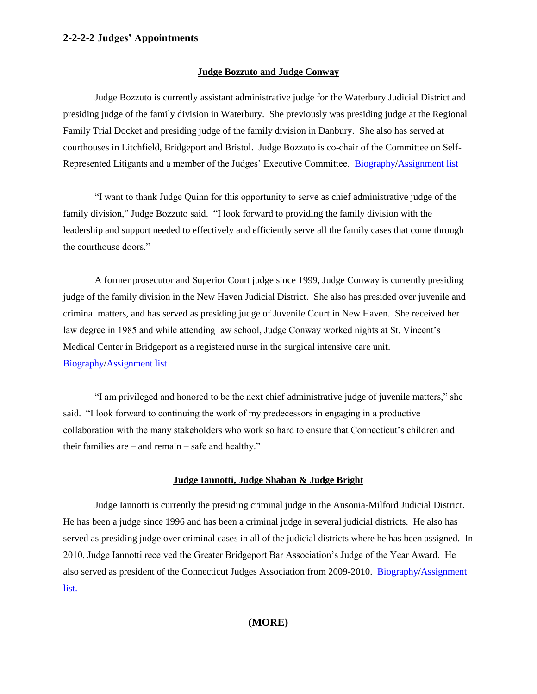#### **2-2-2-2 Judges' Appointments**

#### **Judge Bozzuto and Judge Conway**

Judge Bozzuto is currently assistant administrative judge for the Waterbury Judicial District and presiding judge of the family division in Waterbury. She previously was presiding judge at the Regional Family Trial Docket and presiding judge of the family division in Danbury. She also has served at courthouses in Litchfield, Bridgeport and Bristol. Judge Bozzuto is co-chair of the Committee on Self-Represented Litigants and a member of the Judges' Executive Committee. [Biography](http://www.jud.ct.gov/PDF/bozzuto_bio.pdf)/[Assignment list](http://www.jud.ct.gov/PDF/bozzuto_assignment.pdf)

"I want to thank Judge Quinn for this opportunity to serve as chief administrative judge of the family division," Judge Bozzuto said. "I look forward to providing the family division with the leadership and support needed to effectively and efficiently serve all the family cases that come through the courthouse doors."

A former prosecutor and Superior Court judge since 1999, Judge Conway is currently presiding judge of the family division in the New Haven Judicial District. She also has presided over juvenile and criminal matters, and has served as presiding judge of Juvenile Court in New Haven. She received her law degree in 1985 and while attending law school, Judge Conway worked nights at St. Vincent's Medical Center in Bridgeport as a registered nurse in the surgical intensive care unit. [Biography](http://www.jud.ct.gov/PDF/conway_bio.pdf)[/Assignment list](http://www.jud.ct.gov/PDF/conway_assignment.pdf)

"I am privileged and honored to be the next chief administrative judge of juvenile matters," she said. "I look forward to continuing the work of my predecessors in engaging in a productive collaboration with the many stakeholders who work so hard to ensure that Connecticut's children and their families are – and remain – safe and healthy."

#### **Judge Iannotti, Judge Shaban & Judge Bright**

Judge Iannotti is currently the presiding criminal judge in the Ansonia-Milford Judicial District. He has been a judge since 1996 and has been a criminal judge in several judicial districts. He also has served as presiding judge over criminal cases in all of the judicial districts where he has been assigned. In 2010, Judge Iannotti received the Greater Bridgeport Bar Association's Judge of the Year Award. He also served as president of the Connecticut Judges Association from 2009-2010. [Biography](http://www.jud.ct.gov/PDF/iannotti_bio.pdf)[/Assignment](http://www.jud.ct.gov/PDF/iannotti_assignment.pdf)  [list.](http://www.jud.ct.gov/PDF/iannotti_assignment.pdf)

### **(MORE)**